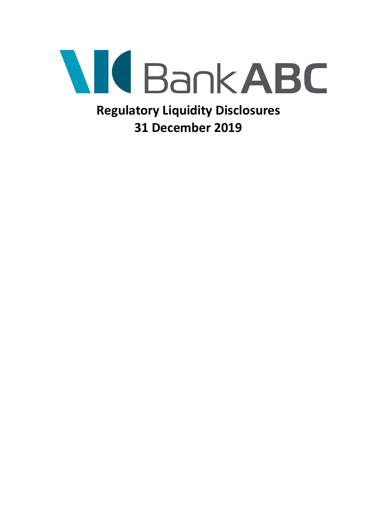

**Regulatory Liquidity Disclosures 31 December 2019**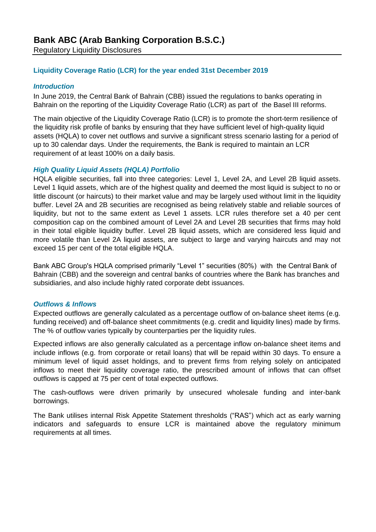### **Liquidity Coverage Ratio (LCR) for the year ended 31st December 2019**

#### *Introduction*

In June 2019, the Central Bank of Bahrain (CBB) issued the regulations to banks operating in Bahrain on the reporting of the Liquidity Coverage Ratio (LCR) as part of the Basel III reforms.

The main objective of the Liquidity Coverage Ratio (LCR) is to promote the short-term resilience of the liquidity risk profile of banks by ensuring that they have sufficient level of high-quality liquid assets (HQLA) to cover net outflows and survive a significant stress scenario lasting for a period of up to 30 calendar days. Under the requirements, the Bank is required to maintain an LCR requirement of at least 100% on a daily basis.

### *High Quality Liquid Assets (HQLA) Portfolio*

HQLA eligible securities, fall into three categories: Level 1, Level 2A, and Level 2B liquid assets. Level 1 liquid assets, which are of the highest quality and deemed the most liquid is subject to no or little discount (or haircuts) to their market value and may be largely used without limit in the liquidity buffer. Level 2A and 2B securities are recognised as being relatively stable and reliable sources of liquidity, but not to the same extent as Level 1 assets. LCR rules therefore set a 40 per cent composition cap on the combined amount of Level 2A and Level 2B securities that firms may hold in their total eligible liquidity buffer. Level 2B liquid assets, which are considered less liquid and more volatile than Level 2A liquid assets, are subject to large and varying haircuts and may not exceed 15 per cent of the total eligible HQLA.

Bank ABC Group's HQLA comprised primarily "Level 1" securities (80%) with the Central Bank of Bahrain (CBB) and the sovereign and central banks of countries where the Bank has branches and subsidiaries, and also include highly rated corporate debt issuances.

#### *Outflows & Inflows*

Expected outflows are generally calculated as a percentage outflow of on-balance sheet items (e.g. funding received) and off-balance sheet commitments (e.g. credit and liquidity lines) made by firms. The % of outflow varies typically by counterparties per the liquidity rules.

Expected inflows are also generally calculated as a percentage inflow on-balance sheet items and include inflows (e.g. from corporate or retail loans) that will be repaid within 30 days. To ensure a minimum level of liquid asset holdings, and to prevent firms from relying solely on anticipated inflows to meet their liquidity coverage ratio, the prescribed amount of inflows that can offset outflows is capped at 75 per cent of total expected outflows.

The cash-outflows were driven primarily by unsecured wholesale funding and inter-bank borrowings.

The Bank utilises internal Risk Appetite Statement thresholds ("RAS") which act as early warning indicators and safeguards to ensure LCR is maintained above the regulatory minimum requirements at all times.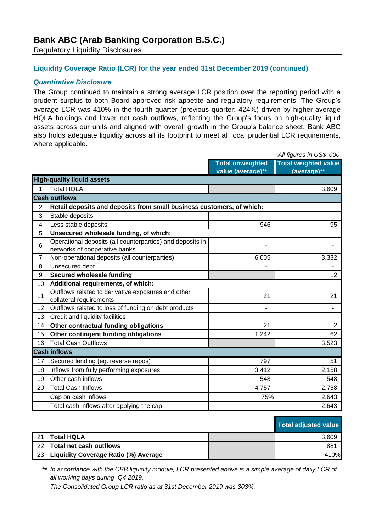# **Bank ABC (Arab Banking Corporation B.S.C.)**

Regulatory Liquidity Disclosures

### **Liquidity Coverage Ratio (LCR) for the year ended 31st December 2019 (continued)**

#### *Quantitative Disclosure*

The Group continued to maintain a strong average LCR position over the reporting period with a prudent surplus to both Board approved risk appetite and regulatory requirements. The Group's average LCR was 410% in the fourth quarter (previous quarter: 424%) driven by higher average HQLA holdings and lower net cash outflows, reflecting the Group's focus on high-quality liquid assets across our units and aligned with overall growth in the Group's balance sheet. Bank ABC also holds adequate liquidity across all its footprint to meet all local prudential LCR requirements, where applicable.

|                |                                                                       | All figures in US\$ '000 |                             |  |  |  |  |
|----------------|-----------------------------------------------------------------------|--------------------------|-----------------------------|--|--|--|--|
|                |                                                                       | <b>Total unweighted</b>  | <b>Total weighted value</b> |  |  |  |  |
|                |                                                                       | value (average)**        | (average)**                 |  |  |  |  |
|                | <b>High-quality liquid assets</b>                                     |                          |                             |  |  |  |  |
| 1              | <b>Total HQLA</b>                                                     |                          | 3,609                       |  |  |  |  |
|                | <b>Cash outflows</b>                                                  |                          |                             |  |  |  |  |
| $\overline{2}$ | Retail deposits and deposits from small business customers, of which: |                          |                             |  |  |  |  |
| 3              | Stable deposits                                                       |                          | $\blacksquare$              |  |  |  |  |
| 4              | Less stable deposits                                                  | 946                      | 95                          |  |  |  |  |
| 5              | Unsecured wholesale funding, of which:                                |                          |                             |  |  |  |  |
| 6              | Operational deposits (all counterparties) and deposits in             | ۳                        |                             |  |  |  |  |
|                | networks of cooperative banks                                         |                          |                             |  |  |  |  |
| $\overline{7}$ | Non-operational deposits (all counterparties)                         | 6,005                    | 3,332                       |  |  |  |  |
| 8              | Unsecured debt                                                        |                          |                             |  |  |  |  |
| 9              | <b>Secured wholesale funding</b>                                      |                          | 12                          |  |  |  |  |
| 10             | Additional requirements, of which:                                    |                          |                             |  |  |  |  |
| 11             | Outflows related to derivative exposures and other                    | 21                       | 21                          |  |  |  |  |
|                | collateral requirements                                               |                          |                             |  |  |  |  |
| 12             | Outflows related to loss of funding on debt products                  |                          | $\blacksquare$              |  |  |  |  |
| 13             | Credit and liquidity facilities                                       | $\overline{\phantom{a}}$ |                             |  |  |  |  |
| 14             | Other contractual funding obligations                                 | 21                       | $\overline{2}$              |  |  |  |  |
| 15             | Other contingent funding obligations                                  | 1,242                    | 62                          |  |  |  |  |
| 16             | <b>Total Cash Outflows</b>                                            |                          | 3,523                       |  |  |  |  |
|                | <b>Cash inflows</b>                                                   |                          |                             |  |  |  |  |
| 17             | Secured lending (eg. reverse repos)                                   | 797                      | 51                          |  |  |  |  |
| 18             | Inflows from fully performing exposures                               | 3,412                    | 2,158                       |  |  |  |  |
| 19             | Other cash inflows                                                    | 548                      | 548                         |  |  |  |  |
| 20             | <b>Total Cash Inflows</b>                                             | 4,757                    | 2,758                       |  |  |  |  |
|                | Cap on cash inflows                                                   | 75%                      | 2,643                       |  |  |  |  |
|                | Total cash inflows after applying the cap                             |                          | 2,643                       |  |  |  |  |

| <b>Total adjusted value</b> |  |
|-----------------------------|--|
|                             |  |

| 21   | <b>Total HQLA</b>                         | 3.609 |
|------|-------------------------------------------|-------|
| - 22 | Total net cash outflows                   | 881   |
|      | 23   Liquidity Coverage Ratio (%) Average | 410%  |

\*\* *In accordance with the CBB liquidity module, LCR presented above is a simple average of daily LCR of all working days during Q4 2019.*

*The Consolidated Group LCR ratio as at 31st December 2019 was 303%.*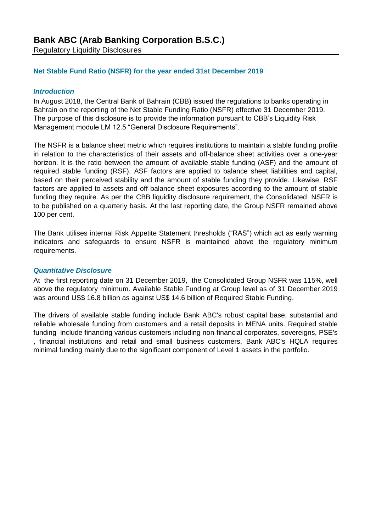#### **Net Stable Fund Ratio (NSFR) for the year ended 31st December 2019**

#### *Introduction*

In August 2018, the Central Bank of Bahrain (CBB) issued the regulations to banks operating in Bahrain on the reporting of the Net Stable Funding Ratio (NSFR) effective 31 December 2019. The purpose of this disclosure is to provide the information pursuant to CBB's Liquidity Risk Management module LM 12.5 "General Disclosure Requirements".

The NSFR is a balance sheet metric which requires institutions to maintain a stable funding profile in relation to the characteristics of their assets and off-balance sheet activities over a one-year horizon. It is the ratio between the amount of available stable funding (ASF) and the amount of required stable funding (RSF). ASF factors are applied to balance sheet liabilities and capital, based on their perceived stability and the amount of stable funding they provide. Likewise, RSF factors are applied to assets and off-balance sheet exposures according to the amount of stable funding they require. As per the CBB liquidity disclosure requirement, the Consolidated NSFR is to be published on a quarterly basis. At the last reporting date, the Group NSFR remained above 100 per cent.

The Bank utilises internal Risk Appetite Statement thresholds ("RAS") which act as early warning indicators and safeguards to ensure NSFR is maintained above the regulatory minimum requirements.

#### *Quantitative Disclosure*

At the first reporting date on 31 December 2019, the Consolidated Group NSFR was 115%, well above the regulatory minimum. Available Stable Funding at Group level as of 31 December 2019 was around US\$ 16.8 billion as against US\$ 14.6 billion of Required Stable Funding.

The drivers of available stable funding include Bank ABC's robust capital base, substantial and reliable wholesale funding from customers and a retail deposits in MENA units. Required stable funding include financing various customers including non-financial corporates, sovereigns, PSE's , financial institutions and retail and small business customers. Bank ABC's HQLA requires minimal funding mainly due to the significant component of Level 1 assets in the portfolio.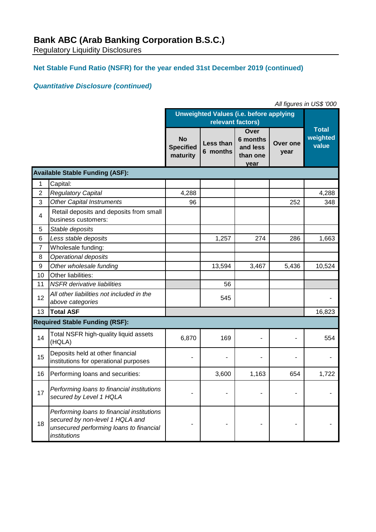# **Net Stable Fund Ratio (NSFR) for the year ended 31st December 2019 (continued)**

## *Quantitative Disclosure (continued)*

| All figures in US\$ '000 |                                                                                                                                          |                                                |                       |                                                  |                  |                                   |
|--------------------------|------------------------------------------------------------------------------------------------------------------------------------------|------------------------------------------------|-----------------------|--------------------------------------------------|------------------|-----------------------------------|
|                          |                                                                                                                                          | <b>Unweighted Values (i.e. before applying</b> |                       |                                                  |                  |                                   |
|                          |                                                                                                                                          |                                                | relevant factors)     |                                                  |                  |                                   |
|                          |                                                                                                                                          | <b>No</b><br><b>Specified</b><br>maturity      | Less than<br>6 months | Over<br>6 months<br>and less<br>than one<br>year | Over one<br>year | <b>Total</b><br>weighted<br>value |
|                          | <b>Available Stable Funding (ASF):</b>                                                                                                   |                                                |                       |                                                  |                  |                                   |
| 1                        | Capital:                                                                                                                                 |                                                |                       |                                                  |                  |                                   |
| $\overline{2}$           | <b>Regulatory Capital</b>                                                                                                                | 4,288                                          |                       |                                                  |                  | 4,288                             |
| 3                        | <b>Other Capital Instruments</b>                                                                                                         | 96                                             |                       |                                                  | 252              | 348                               |
| 4                        | Retail deposits and deposits from small<br>business customers:                                                                           |                                                |                       |                                                  |                  |                                   |
| 5                        | Stable deposits                                                                                                                          |                                                |                       |                                                  |                  |                                   |
| 6                        | Less stable deposits                                                                                                                     |                                                | 1,257                 | 274                                              | 286              | 1,663                             |
| $\overline{7}$           | Wholesale funding:                                                                                                                       |                                                |                       |                                                  |                  |                                   |
| 8                        | Operational deposits                                                                                                                     |                                                |                       |                                                  |                  |                                   |
| 9                        | Other wholesale funding                                                                                                                  |                                                | 13,594                | 3,467                                            | 5,436            | 10,524                            |
| 10                       | Other liabilities:                                                                                                                       |                                                |                       |                                                  |                  |                                   |
| 11                       | <b>NSFR</b> derivative liabilities                                                                                                       |                                                | 56                    |                                                  |                  |                                   |
| 12                       | All other liabilities not included in the<br>above categories                                                                            |                                                | 545                   |                                                  |                  |                                   |
| 13                       | <b>Total ASF</b>                                                                                                                         |                                                |                       |                                                  |                  | 16,823                            |
|                          | <b>Required Stable Funding (RSF):</b>                                                                                                    |                                                |                       |                                                  |                  |                                   |
| 14                       | Total NSFR high-quality liquid assets<br>(HQLA)                                                                                          | 6,870                                          | 169                   |                                                  |                  | 554                               |
| 15                       | Deposits held at other financial<br>institutions for operational purposes                                                                |                                                |                       |                                                  |                  |                                   |
| 16                       | Performing loans and securities:                                                                                                         |                                                | 3,600                 | 1,163                                            | 654              | 1,722                             |
| 17                       | Performing loans to financial institutions<br>secured by Level 1 HQLA                                                                    |                                                |                       |                                                  |                  |                                   |
| 18                       | Performing loans to financial institutions<br>secured by non-level 1 HQLA and<br>unsecured performing loans to financial<br>institutions |                                                |                       |                                                  |                  |                                   |

*All figures in US\$ '000*